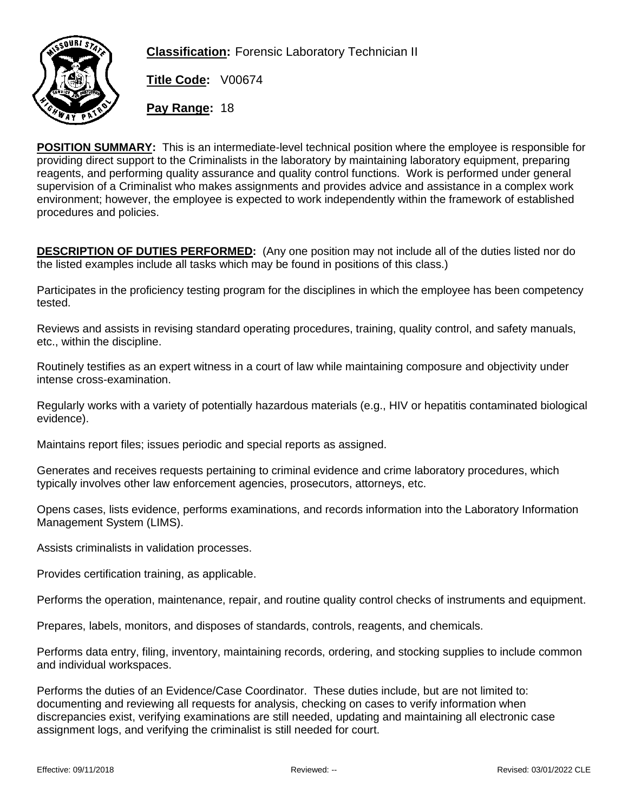

**Classification:** Forensic Laboratory Technician II

**Title Code:** V00674

**Pay Range:** 18

**POSITION SUMMARY:** This is an intermediate-level technical position where the employee is responsible for providing direct support to the Criminalists in the laboratory by maintaining laboratory equipment, preparing reagents, and performing quality assurance and quality control functions. Work is performed under general supervision of a Criminalist who makes assignments and provides advice and assistance in a complex work environment; however, the employee is expected to work independently within the framework of established procedures and policies.

**DESCRIPTION OF DUTIES PERFORMED:** (Any one position may not include all of the duties listed nor do the listed examples include all tasks which may be found in positions of this class.)

Participates in the proficiency testing program for the disciplines in which the employee has been competency tested.

Reviews and assists in revising standard operating procedures, training, quality control, and safety manuals, etc., within the discipline.

Routinely testifies as an expert witness in a court of law while maintaining composure and objectivity under intense cross-examination.

Regularly works with a variety of potentially hazardous materials (e.g., HIV or hepatitis contaminated biological evidence).

Maintains report files; issues periodic and special reports as assigned.

Generates and receives requests pertaining to criminal evidence and crime laboratory procedures, which typically involves other law enforcement agencies, prosecutors, attorneys, etc.

Opens cases, lists evidence, performs examinations, and records information into the Laboratory Information Management System (LIMS).

Assists criminalists in validation processes.

Provides certification training, as applicable.

Performs the operation, maintenance, repair, and routine quality control checks of instruments and equipment.

Prepares, labels, monitors, and disposes of standards, controls, reagents, and chemicals.

Performs data entry, filing, inventory, maintaining records, ordering, and stocking supplies to include common and individual workspaces.

Performs the duties of an Evidence/Case Coordinator. These duties include, but are not limited to: documenting and reviewing all requests for analysis, checking on cases to verify information when discrepancies exist, verifying examinations are still needed, updating and maintaining all electronic case assignment logs, and verifying the criminalist is still needed for court.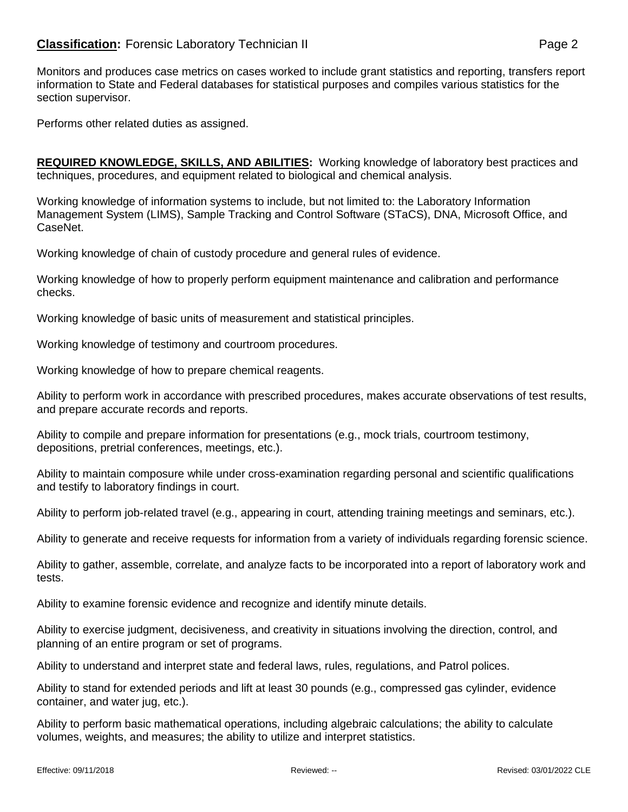## **Classification:** Forensic Laboratory Technician II **Classification:** Page 2

Monitors and produces case metrics on cases worked to include grant statistics and reporting, transfers report information to State and Federal databases for statistical purposes and compiles various statistics for the section supervisor.

Performs other related duties as assigned.

**REQUIRED KNOWLEDGE, SKILLS, AND ABILITIES:** Working knowledge of laboratory best practices and techniques, procedures, and equipment related to biological and chemical analysis.

Working knowledge of information systems to include, but not limited to: the Laboratory Information Management System (LIMS), Sample Tracking and Control Software (STaCS), DNA, Microsoft Office, and CaseNet.

Working knowledge of chain of custody procedure and general rules of evidence.

Working knowledge of how to properly perform equipment maintenance and calibration and performance checks.

Working knowledge of basic units of measurement and statistical principles.

Working knowledge of testimony and courtroom procedures.

Working knowledge of how to prepare chemical reagents.

Ability to perform work in accordance with prescribed procedures, makes accurate observations of test results, and prepare accurate records and reports.

Ability to compile and prepare information for presentations (e.g., mock trials, courtroom testimony, depositions, pretrial conferences, meetings, etc.).

Ability to maintain composure while under cross-examination regarding personal and scientific qualifications and testify to laboratory findings in court.

Ability to perform job-related travel (e.g., appearing in court, attending training meetings and seminars, etc.).

Ability to generate and receive requests for information from a variety of individuals regarding forensic science.

Ability to gather, assemble, correlate, and analyze facts to be incorporated into a report of laboratory work and tests.

Ability to examine forensic evidence and recognize and identify minute details.

Ability to exercise judgment, decisiveness, and creativity in situations involving the direction, control, and planning of an entire program or set of programs.

Ability to understand and interpret state and federal laws, rules, regulations, and Patrol polices.

Ability to stand for extended periods and lift at least 30 pounds (e.g., compressed gas cylinder, evidence container, and water jug, etc.).

Ability to perform basic mathematical operations, including algebraic calculations; the ability to calculate volumes, weights, and measures; the ability to utilize and interpret statistics.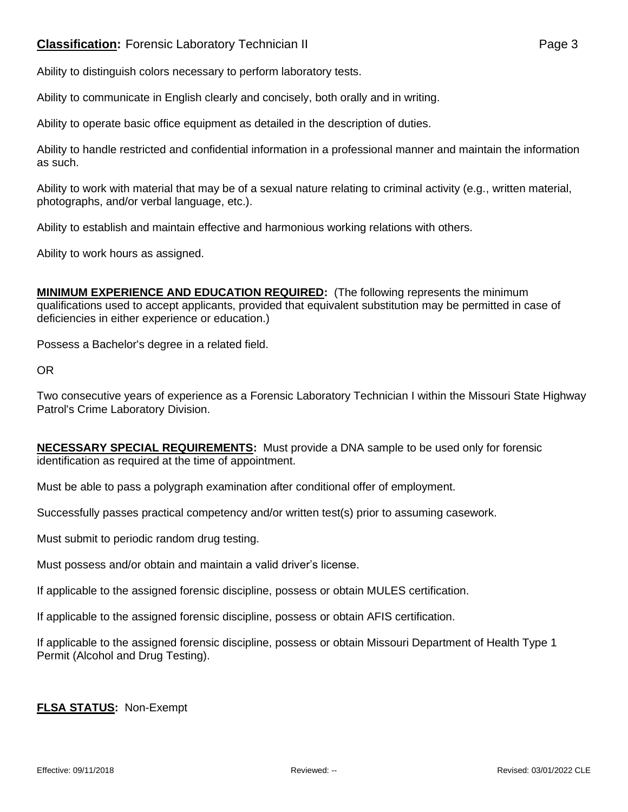## **Classification:** Forensic Laboratory Technician II **Classification:** Page 3

Ability to distinguish colors necessary to perform laboratory tests.

Ability to communicate in English clearly and concisely, both orally and in writing.

Ability to operate basic office equipment as detailed in the description of duties.

Ability to handle restricted and confidential information in a professional manner and maintain the information as such.

Ability to work with material that may be of a sexual nature relating to criminal activity (e.g., written material, photographs, and/or verbal language, etc.).

Ability to establish and maintain effective and harmonious working relations with others.

Ability to work hours as assigned.

**MINIMUM EXPERIENCE AND EDUCATION REQUIRED:** (The following represents the minimum qualifications used to accept applicants, provided that equivalent substitution may be permitted in case of deficiencies in either experience or education.)

Possess a Bachelor's degree in a related field.

OR

Two consecutive years of experience as a Forensic Laboratory Technician I within the Missouri State Highway Patrol's Crime Laboratory Division.

| <b>NECESSARY SPECIAL REQUIREMENTS:</b> Must provide a DNA sample to be used only for forensic |  |
|-----------------------------------------------------------------------------------------------|--|
| identification as required at the time of appointment.                                        |  |

Must be able to pass a polygraph examination after conditional offer of employment.

Successfully passes practical competency and/or written test(s) prior to assuming casework.

Must submit to periodic random drug testing.

Must possess and/or obtain and maintain a valid driver's license.

If applicable to the assigned forensic discipline, possess or obtain MULES certification.

If applicable to the assigned forensic discipline, possess or obtain AFIS certification.

If applicable to the assigned forensic discipline, possess or obtain Missouri Department of Health Type 1 Permit (Alcohol and Drug Testing).

## **FLSA STATUS:** Non-Exempt